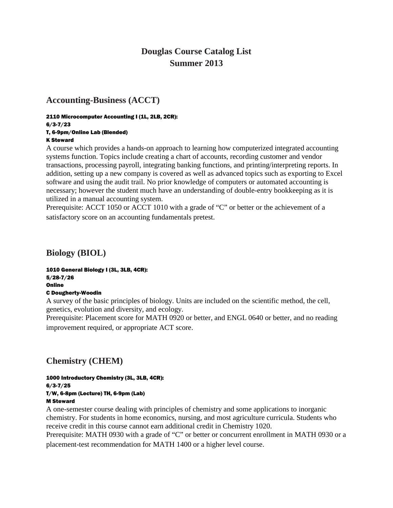# **Douglas Course Catalog List Summer 2013**

# **Accounting-Business (ACCT)**

#### 2110 Microcomputer Accounting I (1L, 2LB, 2CR): 6/3-7/23 T, 6-9pm/Online Lab (Blended)

#### K Steward

A course which provides a hands-on approach to learning how computerized integrated accounting systems function. Topics include creating a chart of accounts, recording customer and vendor transactions, processing payroll, integrating banking functions, and printing/interpreting reports. In addition, setting up a new company is covered as well as advanced topics such as exporting to Excel software and using the audit trail. No prior knowledge of computers or automated accounting is necessary; however the student much have an understanding of double-entry bookkeeping as it is utilized in a manual accounting system.

Prerequisite: ACCT 1050 or ACCT 1010 with a grade of "C" or better or the achievement of a satisfactory score on an accounting fundamentals pretest.

**Biology (BIOL)** 

1010 General Biology I (3L, 3LB, 4CR): 5/28-7/26 **Online** C Dougherty-Woodin

A survey of the basic principles of biology. Units are included on the scientific method, the cell, genetics, evolution and diversity, and ecology.

Prerequisite: Placement score for MATH 0920 or better, and ENGL 0640 or better, and no reading improvement required, or appropriate ACT score.

# **Chemistry (CHEM)**

#### 1000 Introductory Chemistry (3L, 3LB, 4CR): 6/3-7/25 T/W, 6-8pm (Lecture) TH, 6-9pm (Lab) M Steward

A one-semester course dealing with principles of chemistry and some applications to inorganic chemistry. For students in home economics, nursing, and most agriculture curricula. Students who receive credit in this course cannot earn additional credit in Chemistry 1020.

Prerequisite: MATH 0930 with a grade of "C" or better or concurrent enrollment in MATH 0930 or a placement-test recommendation for MATH 1400 or a higher level course.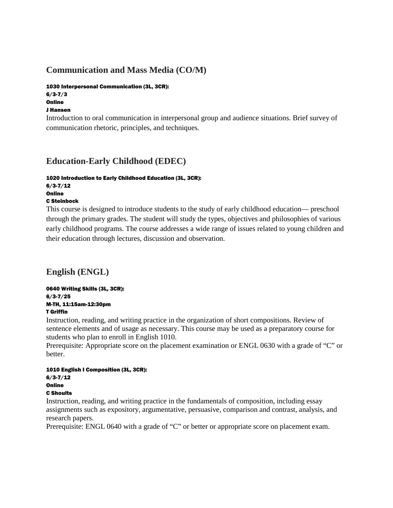# **Communication and Mass Media (CO/M)**

## 1030 Interpersonal Communication (3L, 3CR):

6/3-7/3 **Online** 

### J Hansen

Introduction to oral communication in interpersonal group and audience situations. Brief survey of communication rhetoric, principles, and techniques.

# **Education-Early Childhood (EDEC)**

## 1020 Introduction to Early Childhood Education (3L, 3CR):

6/3-7/12 **Online** 

## C Steinbock

This course is designed to introduce students to the study of early childhood education— preschool through the primary grades. The student will study the types, objectives and philosophies of various early childhood programs. The course addresses a wide range of issues related to young children and their education through lectures, discussion and observation.

# **English (ENGL)**

0640 Writing Skills (3L, 3CR): 6/3-7/25 M-TH, 11:15am-12:30pm T Griffin

Instruction, reading, and writing practice in the organization of short compositions. Review of sentence elements and of usage as necessary. This course may be used as a preparatory course for students who plan to enroll in English 1010.

Prerequisite: Appropriate score on the placement examination or ENGL 0630 with a grade of "C" or better.

#### 1010 English I Composition (3L, 3CR): 6/3-7/12 **Online** C Shoults

Instruction, reading, and writing practice in the fundamentals of composition, including essay assignments such as expository, argumentative, persuasive, comparison and contrast, analysis, and research papers.

Prerequisite: ENGL 0640 with a grade of "C" or better or appropriate score on placement exam.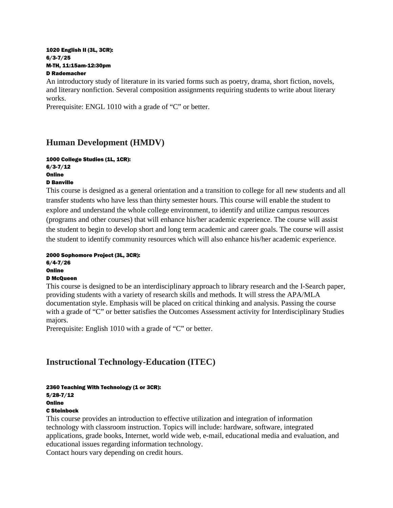#### 1020 English II (3L, 3CR): 6/3-7/25 M-TH, 11:15am-12:30pm D Rademacher

An introductory study of literature in its varied forms such as poetry, drama, short fiction, novels, and literary nonfiction. Several composition assignments requiring students to write about literary works.

Prerequisite: ENGL 1010 with a grade of "C" or better.

# **Human Development (HMDV)**

#### 1000 College Studies (1L, 1CR): 6/3-7/12 Online

D Banville

This course is designed as a general orientation and a transition to college for all new students and all transfer students who have less than thirty semester hours. This course will enable the student to explore and understand the whole college environment, to identify and utilize campus resources (programs and other courses) that will enhance his/her academic experience. The course will assist the student to begin to develop short and long term academic and career goals. The course will assist the student to identify community resources which will also enhance his/her academic experience.

### 2000 Sophomore Project (3L, 3CR):

6/4-7/26

### **Online**

### D McQueen

This course is designed to be an interdisciplinary approach to library research and the I-Search paper, providing students with a variety of research skills and methods. It will stress the APA/MLA documentation style. Emphasis will be placed on critical thinking and analysis. Passing the course with a grade of "C" or better satisfies the Outcomes Assessment activity for Interdisciplinary Studies majors.

Prerequisite: English 1010 with a grade of "C" or better.

# **Instructional Technology-Education (ITEC)**

### 2360 Teaching With Technology (1 or 3CR):

5/28-7/12 **Online** 

## C Steinbock

This course provides an introduction to effective utilization and integration of information technology with classroom instruction. Topics will include: hardware, software, integrated applications, grade books, Internet, world wide web, e-mail, educational media and evaluation, and educational issues regarding information technology.

Contact hours vary depending on credit hours.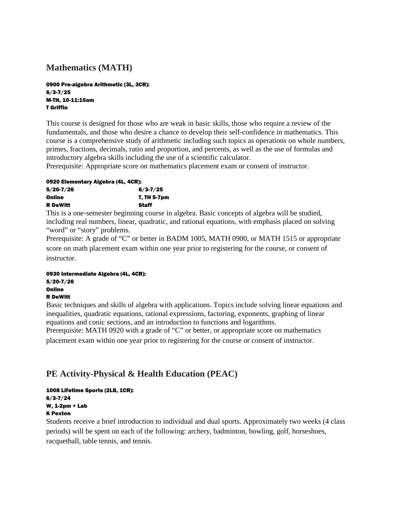# **Mathematics (MATH)**

0900 Pre-algebra Arithmetic (3L, 3CR): 6/3-7/25 M-TH, 10-11:15am T Griffin

This course is designed for those who are weak in basic skills, those who require a review of the fundamentals, and those who desire a chance to develop their self-confidence in mathematics. This course is a comprehensive study of arithmetic including such topics as operations on whole numbers, primes, fractions, decimals, ratio and proportion, and percents, as well as the use of formulas and introductory algebra skills including the use of a scientific calculator.

Prerequisite: Appropriate score on mathematics placement exam or consent of instructor.

### 0920 Elementary Algebra (4L, 4CR):

| $5/20 - 7/26$   | $6/3 - 7/25$ |
|-----------------|--------------|
| Online          | T, TH 5-7pm  |
| <b>R</b> DeWitt | Staff        |

This is a one-semester beginning course in algebra. Basic concepts of algebra will be studied, including real numbers, linear, quadratic, and rational equations, with emphasis placed on solving "word" or "story" problems.

Prerequisite: A grade of "C" or better in BADM 1005, MATH 0900, or MATH 1515 or appropriate score on math placement exam within one year prior to registering for the course, or consent of instructor.

#### 0930 Intermediate Algebra (4L, 4CR):

5/20-7/26 **Online** R DeWitt

Basic techniques and skills of algebra with applications. Topics include solving linear equations and inequalities, quadratic equations, rational expressions, factoring, exponents, graphing of linear equations and conic sections, and an introduction to functions and logarithms.

Prerequisite: MATH 0920 with a grade of "C" or better, or appropriate score on mathematics placement exam within one year prior to registering for the course or consent of instructor.

# **PE Activity-Physical & Health Education (PEAC)**

#### 1008 Lifetime Sports (2LB, 1CR): 6/3-7/24 W, 1-2pm + Lab K Pexton

Students receive a brief introduction to individual and dual sports. Approximately two weeks (4 class periods) will be spent on each of the following: archery, badminton, bowling, golf, horseshoes, racquetball, table tennis, and tennis.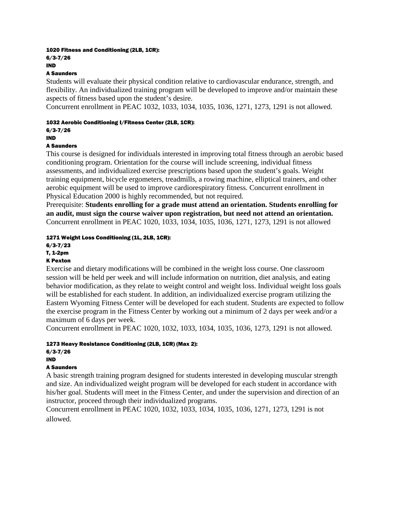#### 1020 Fitness and Conditioning (2LB, 1CR):

6/3-7/26 IND

### A Saunders

Students will evaluate their physical condition relative to cardiovascular endurance, strength, and flexibility. An individualized training program will be developed to improve and/or maintain these aspects of fitness based upon the student's desire.

Concurrent enrollment in PEAC 1032, 1033, 1034, 1035, 1036, 1271, 1273, 1291 is not allowed.

### 1032 Aerobic Conditioning I/Fitness Center (2LB, 1CR):

6/3-7/26

#### IND

## A Saunders

This course is designed for individuals interested in improving total fitness through an aerobic based conditioning program. Orientation for the course will include screening, individual fitness assessments, and individualized exercise prescriptions based upon the student's goals. Weight training equipment, bicycle ergometers, treadmills, a rowing machine, elliptical trainers, and other aerobic equipment will be used to improve cardiorespiratory fitness. Concurrent enrollment in Physical Education 2000 is highly recommended, but not required.

Prerequisite: **Students enrolling for a grade must attend an orientation. Students enrolling for an audit, must sign the course waiver upon registration, but need not attend an orientation.**  Concurrent enrollment in PEAC 1020, 1033, 1034, 1035, 1036, 1271, 1273, 1291 is not allowed

### 1271 Weight Loss Conditioning (1L, 2LB, 1CR):

6/3-7/23

# T, 1-2pm

## K Pexton

Exercise and dietary modifications will be combined in the weight loss course. One classroom session will be held per week and will include information on nutrition, diet analysis, and eating behavior modification, as they relate to weight control and weight loss. Individual weight loss goals will be established for each student. In addition, an individualized exercise program utilizing the Eastern Wyoming Fitness Center will be developed for each student. Students are expected to follow the exercise program in the Fitness Center by working out a minimum of 2 days per week and/or a maximum of 6 days per week.

Concurrent enrollment in PEAC 1020, 1032, 1033, 1034, 1035, 1036, 1273, 1291 is not allowed.

## 1273 Heavy Resistance Conditioning (2LB, 1CR) (Max 2):

## 6/3-7/26

## IND

## A Saunders

A basic strength training program designed for students interested in developing muscular strength and size. An individualized weight program will be developed for each student in accordance with his/her goal. Students will meet in the Fitness Center, and under the supervision and direction of an instructor, proceed through their individualized programs.

Concurrent enrollment in PEAC 1020, 1032, 1033, 1034, 1035, 1036, 1271, 1273, 1291 is not allowed.